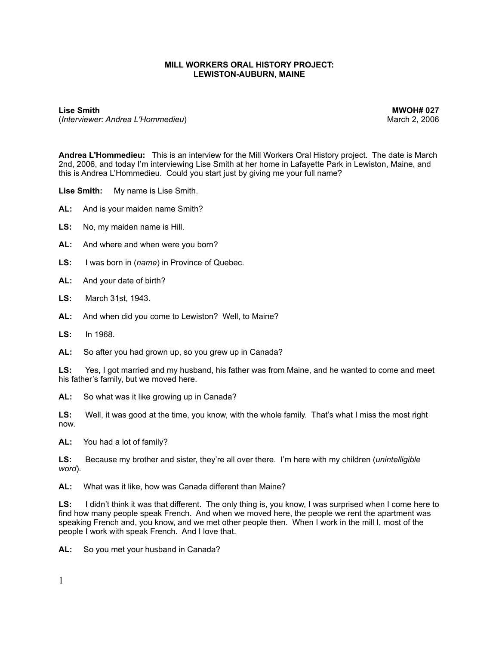## **MILL WORKERS ORAL HISTORY PROJECT: LEWISTON-AUBURN, MAINE**

(*Interviewer: Andrea L'Hommedieu*) and the second term of the second term of the March 2, 2006

**Lise Smith MWOH# 027**

**Andrea L'Hommedieu:** This is an interview for the Mill Workers Oral History project. The date is March 2nd, 2006, and today I'm interviewing Lise Smith at her home in Lafayette Park in Lewiston, Maine, and this is Andrea L'Hommedieu. Could you start just by giving me your full name?

**Lise Smith:** My name is Lise Smith.

- **AL:** And is your maiden name Smith?
- **LS:** No, my maiden name is Hill.
- **AL:** And where and when were you born?
- **LS:** I was born in (*name*) in Province of Quebec.
- **AL:** And your date of birth?
- **LS:** March 31st, 1943.
- **AL:** And when did you come to Lewiston? Well, to Maine?
- **LS:** In 1968.
- **AL:** So after you had grown up, so you grew up in Canada?

**LS:** Yes, I got married and my husband, his father was from Maine, and he wanted to come and meet his father's family, but we moved here.

**AL:** So what was it like growing up in Canada?

**LS:** Well, it was good at the time, you know, with the whole family. That's what I miss the most right now.

**AL:** You had a lot of family?

**LS:** Because my brother and sister, they're all over there. I'm here with my children (*unintelligible word*).

**AL:** What was it like, how was Canada different than Maine?

**LS:** I didn't think it was that different. The only thing is, you know, I was surprised when I come here to find how many people speak French. And when we moved here, the people we rent the apartment was speaking French and, you know, and we met other people then. When I work in the mill I, most of the people I work with speak French. And I love that.

**AL:** So you met your husband in Canada?

1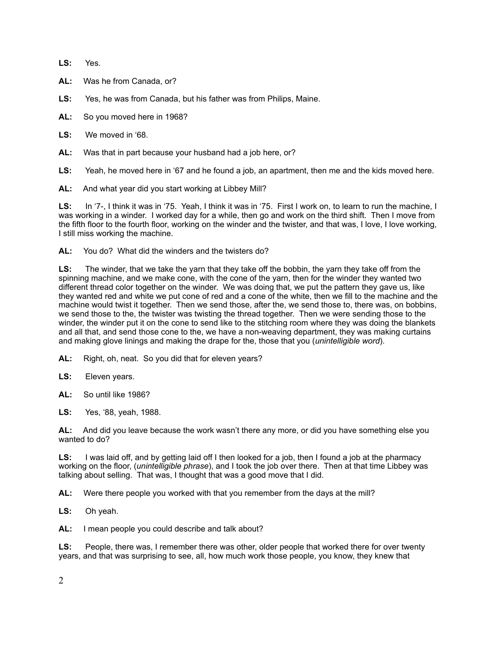**LS:** Yes.

- **AL:** Was he from Canada, or?
- **LS:** Yes, he was from Canada, but his father was from Philips, Maine.
- **AL:** So you moved here in 1968?
- **LS:** We moved in '68.
- **AL:** Was that in part because your husband had a job here, or?
- **LS:** Yeah, he moved here in '67 and he found a job, an apartment, then me and the kids moved here.
- **AL:** And what year did you start working at Libbey Mill?

**LS:** In '7-, I think it was in '75. Yeah, I think it was in '75. First I work on, to learn to run the machine, I was working in a winder. I worked day for a while, then go and work on the third shift. Then I move from the fifth floor to the fourth floor, working on the winder and the twister, and that was, I love, I love working, I still miss working the machine.

**AL:** You do? What did the winders and the twisters do?

**LS:** The winder, that we take the yarn that they take off the bobbin, the yarn they take off from the spinning machine, and we make cone, with the cone of the yarn, then for the winder they wanted two different thread color together on the winder. We was doing that, we put the pattern they gave us, like they wanted red and white we put cone of red and a cone of the white, then we fill to the machine and the machine would twist it together. Then we send those, after the, we send those to, there was, on bobbins, we send those to the, the twister was twisting the thread together. Then we were sending those to the winder, the winder put it on the cone to send like to the stitching room where they was doing the blankets and all that, and send those cone to the, we have a non-weaving department, they was making curtains and making glove linings and making the drape for the, those that you (*unintelligible word*).

- **AL:** Right, oh, neat. So you did that for eleven years?
- **LS:** Eleven years.
- **AL:** So until like 1986?
- **LS:** Yes, '88, yeah, 1988.

**AL:** And did you leave because the work wasn't there any more, or did you have something else you wanted to do?

**LS:** I was laid off, and by getting laid off I then looked for a job, then I found a job at the pharmacy working on the floor, (*unintelligible phrase*), and I took the job over there. Then at that time Libbey was talking about selling. That was, I thought that was a good move that I did.

**AL:** Were there people you worked with that you remember from the days at the mill?

**LS:** Oh yeah.

**AL:** I mean people you could describe and talk about?

**LS:** People, there was, I remember there was other, older people that worked there for over twenty years, and that was surprising to see, all, how much work those people, you know, they knew that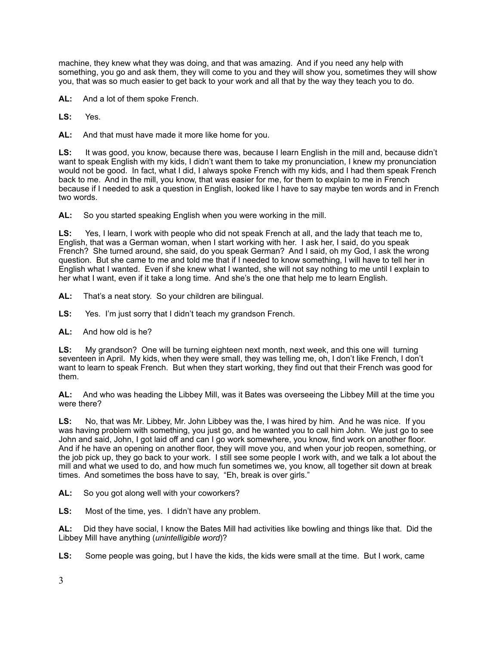machine, they knew what they was doing, and that was amazing. And if you need any help with something, you go and ask them, they will come to you and they will show you, sometimes they will show you, that was so much easier to get back to your work and all that by the way they teach you to do.

**AL:** And a lot of them spoke French.

**LS:** Yes.

**AL:** And that must have made it more like home for you.

**LS:** It was good, you know, because there was, because I learn English in the mill and, because didn't want to speak English with my kids, I didn't want them to take my pronunciation, I knew my pronunciation would not be good. In fact, what I did, I always spoke French with my kids, and I had them speak French back to me. And in the mill, you know, that was easier for me, for them to explain to me in French because if I needed to ask a question in English, looked like I have to say maybe ten words and in French two words.

**AL:** So you started speaking English when you were working in the mill.

**LS:** Yes, I learn, I work with people who did not speak French at all, and the lady that teach me to, English, that was a German woman, when I start working with her. I ask her, I said, do you speak French? She turned around, she said, do you speak German? And I said, oh my God, I ask the wrong question. But she came to me and told me that if I needed to know something, I will have to tell her in English what I wanted. Even if she knew what I wanted, she will not say nothing to me until I explain to her what I want, even if it take a long time. And she's the one that help me to learn English.

**AL:** That's a neat story. So your children are bilingual.

**LS:** Yes. I'm just sorry that I didn't teach my grandson French.

**AL:** And how old is he?

**LS:** My grandson? One will be turning eighteen next month, next week, and this one will turning seventeen in April. My kids, when they were small, they was telling me, oh, I don't like French, I don't want to learn to speak French. But when they start working, they find out that their French was good for them.

**AL:** And who was heading the Libbey Mill, was it Bates was overseeing the Libbey Mill at the time you were there?

**LS:** No, that was Mr. Libbey, Mr. John Libbey was the, I was hired by him. And he was nice. If you was having problem with something, you just go, and he wanted you to call him John. We just go to see John and said, John, I got laid off and can I go work somewhere, you know, find work on another floor. And if he have an opening on another floor, they will move you, and when your job reopen, something, or the job pick up, they go back to your work. I still see some people I work with, and we talk a lot about the mill and what we used to do, and how much fun sometimes we, you know, all together sit down at break times. And sometimes the boss have to say, "Eh, break is over girls."

**AL:** So you got along well with your coworkers?

**LS:** Most of the time, yes. I didn't have any problem.

**AL:** Did they have social, I know the Bates Mill had activities like bowling and things like that. Did the Libbey Mill have anything (*unintelligible word*)?

**LS:** Some people was going, but I have the kids, the kids were small at the time. But I work, came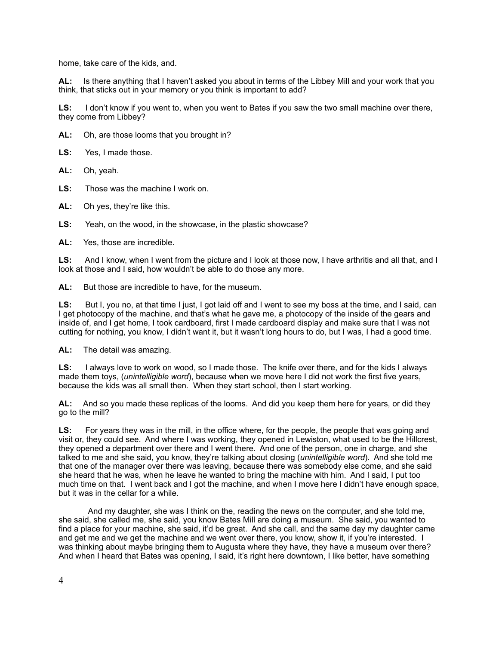home, take care of the kids, and.

**AL:** Is there anything that I haven't asked you about in terms of the Libbey Mill and your work that you think, that sticks out in your memory or you think is important to add?

**LS:** I don't know if you went to, when you went to Bates if you saw the two small machine over there, they come from Libbey?

**AL:** Oh, are those looms that you brought in?

**LS:** Yes, I made those.

**AL:** Oh, yeah.

**LS:** Those was the machine I work on.

**AL:** Oh yes, they're like this.

**LS:** Yeah, on the wood, in the showcase, in the plastic showcase?

**AL:** Yes, those are incredible.

LS: And I know, when I went from the picture and I look at those now, I have arthritis and all that, and I look at those and I said, how wouldn't be able to do those any more.

AL: But those are incredible to have, for the museum.

LS: But I, you no, at that time I just, I got laid off and I went to see my boss at the time, and I said, can I get photocopy of the machine, and that's what he gave me, a photocopy of the inside of the gears and inside of, and I get home, I took cardboard, first I made cardboard display and make sure that I was not cutting for nothing, you know, I didn't want it, but it wasn't long hours to do, but I was, I had a good time.

**AL:** The detail was amazing.

LS: I always love to work on wood, so I made those. The knife over there, and for the kids I always made them toys, (*unintelligible word*), because when we move here I did not work the first five years, because the kids was all small then. When they start school, then I start working.

AL: And so you made these replicas of the looms. And did you keep them here for years, or did they go to the mill?

**LS:** For years they was in the mill, in the office where, for the people, the people that was going and visit or, they could see. And where I was working, they opened in Lewiston, what used to be the Hillcrest, they opened a department over there and I went there. And one of the person, one in charge, and she talked to me and she said, you know, they're talking about closing (*unintelligible word*). And she told me that one of the manager over there was leaving, because there was somebody else come, and she said she heard that he was, when he leave he wanted to bring the machine with him. And I said, I put too much time on that. I went back and I got the machine, and when I move here I didn't have enough space, but it was in the cellar for a while.

 And my daughter, she was I think on the, reading the news on the computer, and she told me, she said, she called me, she said, you know Bates Mill are doing a museum. She said, you wanted to find a place for your machine, she said, it'd be great. And she call, and the same day my daughter came and get me and we get the machine and we went over there, you know, show it, if you're interested. I was thinking about maybe bringing them to Augusta where they have, they have a museum over there? And when I heard that Bates was opening, I said, it's right here downtown, I like better, have something